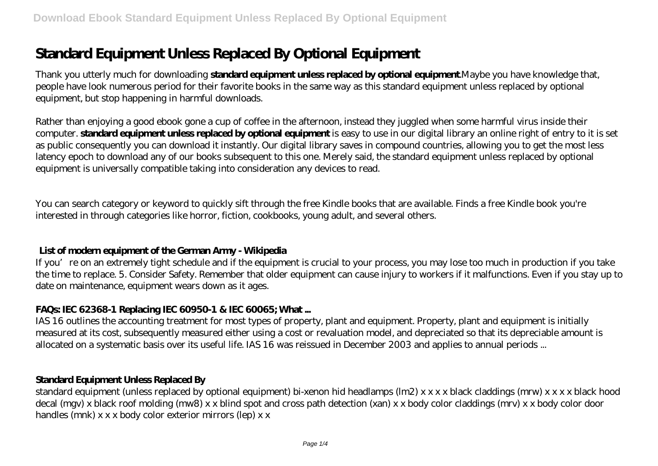# **Standard Equipment Unless Replaced By Optional Equipment**

Thank you utterly much for downloading **standard equipment unless replaced by optional equipment**.Maybe you have knowledge that, people have look numerous period for their favorite books in the same way as this standard equipment unless replaced by optional equipment, but stop happening in harmful downloads.

Rather than enjoying a good ebook gone a cup of coffee in the afternoon, instead they juggled when some harmful virus inside their computer. **standard equipment unless replaced by optional equipment** is easy to use in our digital library an online right of entry to it is set as public consequently you can download it instantly. Our digital library saves in compound countries, allowing you to get the most less latency epoch to download any of our books subsequent to this one. Merely said, the standard equipment unless replaced by optional equipment is universally compatible taking into consideration any devices to read.

You can search category or keyword to quickly sift through the free Kindle books that are available. Finds a free Kindle book you're interested in through categories like horror, fiction, cookbooks, young adult, and several others.

## **List of modern equipment of the German Army - Wikipedia**

If you're on an extremely tight schedule and if the equipment is crucial to your process, you may lose too much in production if you take the time to replace. 5. Consider Safety. Remember that older equipment can cause injury to workers if it malfunctions. Even if you stay up to date on maintenance, equipment wears down as it ages.

## **FAQs: IEC 62368-1 Replacing IEC 60950-1 & IEC 60065; What ...**

IAS 16 outlines the accounting treatment for most types of property, plant and equipment. Property, plant and equipment is initially measured at its cost, subsequently measured either using a cost or revaluation model, and depreciated so that its depreciable amount is allocated on a systematic basis over its useful life. IAS 16 was reissued in December 2003 and applies to annual periods ...

## **Standard Equipment Unless Replaced By**

standard equipment (unless replaced by optional equipment) bi-xenon hid headlamps (lm2) x x x x black claddings (mrw) x x x x black hood decal (mgv) x black roof molding (mw8) x x blind spot and cross path detection (xan) x x body color claddings (mrv) x x body color door handles (mnk) x x x body color exterior mirrors (lep) x x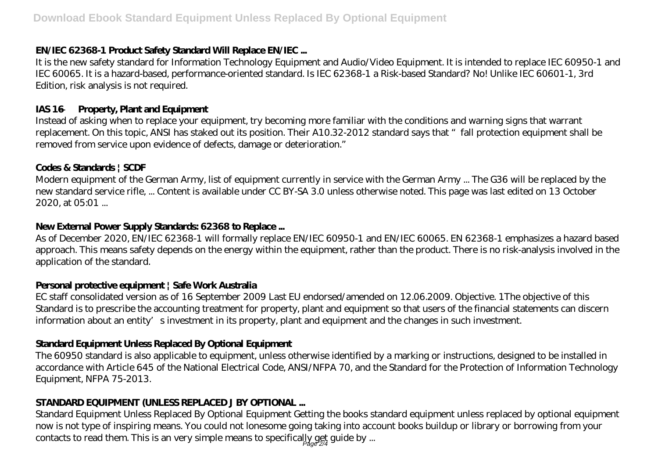# **EN/IEC 62368-1 Product Safety Standard Will Replace EN/IEC ...**

It is the new safety standard for Information Technology Equipment and Audio/Video Equipment. It is intended to replace IEC 60950-1 and IEC 60065. It is a hazard-based, performance-oriented standard. Is IEC 62368-1 a Risk-based Standard? No! Unlike IEC 60601-1, 3rd Edition, risk analysis is not required.

## **IAS 16 — Property, Plant and Equipment**

Instead of asking when to replace your equipment, try becoming more familiar with the conditions and warning signs that warrant replacement. On this topic, ANSI has staked out its position. Their A10.32-2012 standard says that "fall protection equipment shall be removed from service upon evidence of defects, damage or deterioration."

## **Codes & Standards | SCDF**

Modern equipment of the German Army, list of equipment currently in service with the German Army ... The G36 will be replaced by the new standard service rifle, ... Content is available under CC BY-SA 3.0 unless otherwise noted. This page was last edited on 13 October 2020, at 05:01 ...

# **New External Power Supply Standards: 62368 to Replace ...**

As of December 2020, EN/IEC 62368-1 will formally replace EN/IEC 60950-1 and EN/IEC 60065. EN 62368-1 emphasizes a hazard based approach. This means safety depends on the energy within the equipment, rather than the product. There is no risk-analysis involved in the application of the standard.

# **Personal protective equipment | Safe Work Australia**

EC staff consolidated version as of 16 September 2009 Last EU endorsed/amended on 12.06.2009. Objective. 1The objective of this Standard is to prescribe the accounting treatment for property, plant and equipment so that users of the financial statements can discern information about an entity's investment in its property, plant and equipment and the changes in such investment.

# **Standard Equipment Unless Replaced By Optional Equipment**

The 60950 standard is also applicable to equipment, unless otherwise identified by a marking or instructions, designed to be installed in accordance with Article 645 of the National Electrical Code, ANSI/NFPA 70, and the Standard for the Protection of Information Technology Equipment, NFPA 75-2013.

# **STANDARD EQUIPMENT (UNLESS REPLACED J BY OPTIONAL ...**

Standard Equipment Unless Replaced By Optional Equipment Getting the books standard equipment unless replaced by optional equipment now is not type of inspiring means. You could not lonesome going taking into account books buildup or library or borrowing from your contacts to read them. This is an very simple means to specifically get guide by ...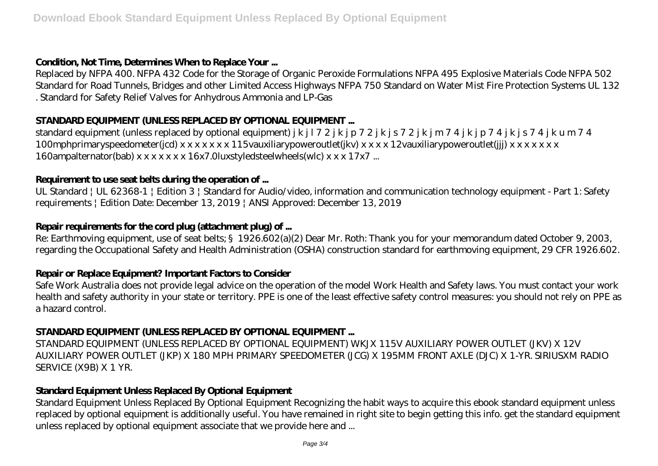## **Condition, Not Time, Determines When to Replace Your ...**

Replaced by NFPA 400. NFPA 432 Code for the Storage of Organic Peroxide Formulations NFPA 495 Explosive Materials Code NFPA 502 Standard for Road Tunnels, Bridges and other Limited Access Highways NFPA 750 Standard on Water Mist Fire Protection Systems UL 132 . Standard for Safety Relief Valves for Anhydrous Ammonia and LP-Gas

## **STANDARD EQUIPMENT (UNLESS REPLACED BY OPTIONAL EQUIPMENT ...**

standard equipment (unless replaced by optional equipment) j k j l 7 2 j k j p 7 2 j k j s 7 2 j k j m 7 4 j k j p 7 4 j k j s 7 4 j k u m 7 4 100mphprimaryspeedometer(jcd) x x x x x x x 115vauxiliarypoweroutlet(jkv) x x x x 12vauxiliarypoweroutlet(jjj) x x x x x x x 160ampalternator(bab) x x x x x x x 16x7.0luxstyledsteelwheels(wlc) x x x 17x7 ...

## **Requirement to use seat belts during the operation of ...**

UL Standard | UL 62368-1 | Edition 3 | Standard for Audio/video, information and communication technology equipment - Part 1: Safety requirements | Edition Date: December 13, 2019 | ANSI Approved: December 13, 2019

## **Repair requirements for the cord plug (attachment plug) of ...**

Re: Earthmoving equipment, use of seat belts; §1926.602(a)(2) Dear Mr. Roth: Thank you for your memorandum dated October 9, 2003, regarding the Occupational Safety and Health Administration (OSHA) construction standard for earthmoving equipment, 29 CFR 1926.602.

## **Repair or Replace Equipment? Important Factors to Consider**

Safe Work Australia does not provide legal advice on the operation of the model Work Health and Safety laws. You must contact your work health and safety authority in your state or territory. PPE is one of the least effective safety control measures: you should not rely on PPE as a hazard control.

## **STANDARD EQUIPMENT (UNLESS REPLACED BY OPTIONAL EQUIPMENT ...**

STANDARD EQUIPMENT (UNLESS REPLACED BY OPTIONAL EQUIPMENT) WKJX 115V AUXILIARY POWER OUTLET (JKV) X 12V AUXILIARY POWER OUTLET (JKP) X 180 MPH PRIMARY SPEEDOMETER (JCG) X 195MM FRONT AXLE (DJC) X 1-YR. SIRIUSXM RADIO SERVICE (X9B) X 1 YR.

# **Standard Equipment Unless Replaced By Optional Equipment**

Standard Equipment Unless Replaced By Optional Equipment Recognizing the habit ways to acquire this ebook standard equipment unless replaced by optional equipment is additionally useful. You have remained in right site to begin getting this info. get the standard equipment unless replaced by optional equipment associate that we provide here and ...